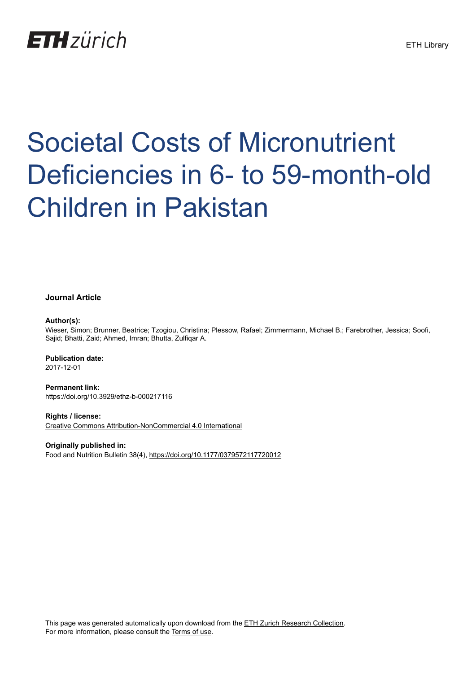## **ETH**zürich

# Societal Costs of Micronutrient Deficiencies in 6- to 59-month-old Children in Pakistan

#### **Journal Article**

#### **Author(s):**

Wieser, Simon; Brunner, Beatrice; Tzogiou, Christina; Plessow, Rafael; Zimmermann, Michael B.; Farebrother, Jessica; Soofi, Sajid; Bhatti, Zaid; Ahmed, Imran; Bhutta, Zulfiqar A.

#### **Publication date:** 2017-12-01

**Permanent link:** <https://doi.org/10.3929/ethz-b-000217116>

**Rights / license:** [Creative Commons Attribution-NonCommercial 4.0 International](http://creativecommons.org/licenses/by-nc/4.0/)

**Originally published in:** Food and Nutrition Bulletin 38(4), <https://doi.org/10.1177/0379572117720012>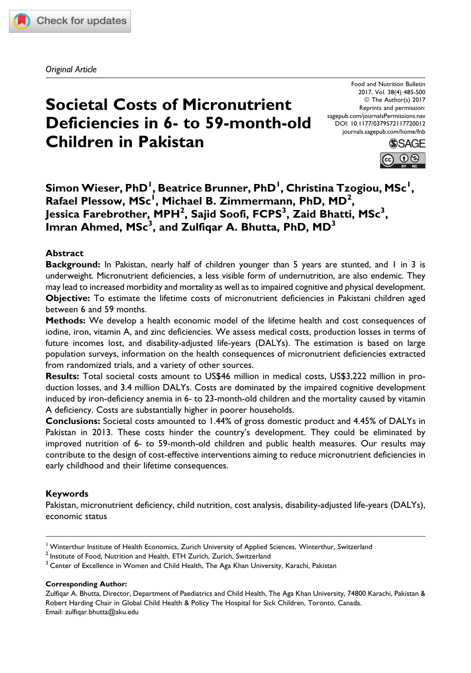

Original Article

### Societal Costs of Micronutrient Deficiencies in 6- to 59-month-old Children in Pakistan

Food and Nutrition Bulletin 2017, Vol. 38(4) 485-500 © The Author(s) 2017 Reprints and permission: [sagepub.com/journalsPermissions.nav](https://us.sagepub.com/en-us/journals-permissions) [DOI: 10.1177/0379572117720012](https://doi.org/10.1177/0379572117720012) [journals.sagepub.com/home/fnb](http://journals.sagepub.com/home/fnb)



 $\mathsf{Simon}$  Wieser, PhD $^{\mathsf{I}}$ , Beatrice Brunner, PhD $^{\mathsf{I}}$ , Christina Tzogiou, MSc $^{\mathsf{I}}$ , Rafael Plessow, MSc<sup>i</sup>, Michael B. Zimmermann, PhD, MD<sup>2</sup>, Jessica Farebrother, MPH $^2$ , Sajid Soofi, FCPS $^3$ , Zaid Bhatti, MSc $^3$ , Imran Ahmed,  ${\sf MSc}^3$ , and Zulfiqar A. Bhutta, PhD,  ${\sf MD}^3$ 

#### Abstract

Background: In Pakistan, nearly half of children younger than 5 years are stunted, and I in 3 is underweight. Micronutrient deficiencies, a less visible form of undernutrition, are also endemic. They may lead to increased morbidity and mortality as well as to impaired cognitive and physical development. Objective: To estimate the lifetime costs of micronutrient deficiencies in Pakistani children aged between 6 and 59 months.

Methods: We develop a health economic model of the lifetime health and cost consequences of iodine, iron, vitamin A, and zinc deficiencies. We assess medical costs, production losses in terms of future incomes lost, and disability-adjusted life-years (DALYs). The estimation is based on large population surveys, information on the health consequences of micronutrient deficiencies extracted from randomized trials, and a variety of other sources.

Results: Total societal costs amount to US\$46 million in medical costs, US\$3,222 million in production losses, and 3.4 million DALYs. Costs are dominated by the impaired cognitive development induced by iron-deficiency anemia in 6- to 23-month-old children and the mortality caused by vitamin A deficiency. Costs are substantially higher in poorer households.

Conclusions: Societal costs amounted to 1.44% of gross domestic product and 4.45% of DALYs in Pakistan in 2013. These costs hinder the country's development. They could be eliminated by improved nutrition of 6- to 59-month-old children and public health measures. Our results may contribute to the design of cost-effective interventions aiming to reduce micronutrient deficiencies in early childhood and their lifetime consequences.

#### Keywords

Pakistan, micronutrient deficiency, child nutrition, cost analysis, disability-adjusted life-years (DALYs), economic status

#### Corresponding Author:

Zulfiqar A. Bhutta, Director, Department of Paediatrics and Child Health, The Aga Khan University, 74800 Karachi, Pakistan & Robert Harding Chair in Global Child Health & Policy The Hospital for Sick Children, Toronto, Canada. Email: [zulfiqar.bhutta@aku.edu](mailto:zulfiqar.bhutta@aku.edu)

<sup>&</sup>lt;sup>1</sup> Winterthur Institute of Health Economics, Zurich University of Applied Sciences, Winterthur, Switzerland

 $2$  Institute of Food, Nutrition and Health, ETH Zurich, Zurich, Switzerland

<sup>&</sup>lt;sup>3</sup> Center of Excellence in Women and Child Health, The Aga Khan University, Karachi, Pakistan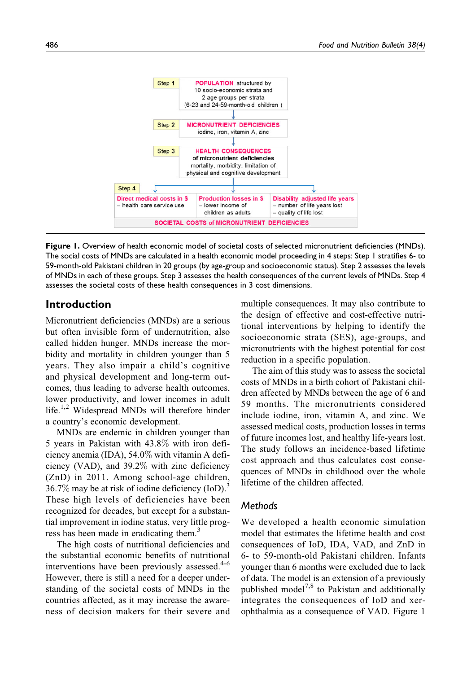

Figure 1. Overview of health economic model of societal costs of selected micronutrient deficiencies (MNDs). The social costs of MNDs are calculated in a health economic model proceeding in 4 steps: Step 1 stratifies 6- to 59-month-old Pakistani children in 20 groups (by age-group and socioeconomic status). Step 2 assesses the levels of MNDs in each of these groups. Step 3 assesses the health consequences of the current levels of MNDs. Step 4 assesses the societal costs of these health consequences in 3 cost dimensions.

#### Introduction

Micronutrient deficiencies (MNDs) are a serious but often invisible form of undernutrition, also called hidden hunger. MNDs increase the morbidity and mortality in children younger than 5 years. They also impair a child's cognitive and physical development and long-term outcomes, thus leading to adverse health outcomes, lower productivity, and lower incomes in adult life.<sup>1,2</sup> Widespread MNDs will therefore hinder a country's economic development.

MNDs are endemic in children younger than 5 years in Pakistan with 43.8% with iron deficiency anemia (IDA), 54.0% with vitamin A deficiency (VAD), and 39.2% with zinc deficiency (ZnD) in 2011. Among school-age children, 36.7% may be at risk of iodine deficiency  $(IoD)<sup>3</sup>$ These high levels of deficiencies have been recognized for decades, but except for a substantial improvement in iodine status, very little progress has been made in eradicating them.<sup>3</sup>

The high costs of nutritional deficiencies and the substantial economic benefits of nutritional interventions have been previously assessed. $4-6$ However, there is still a need for a deeper understanding of the societal costs of MNDs in the countries affected, as it may increase the awareness of decision makers for their severe and multiple consequences. It may also contribute to the design of effective and cost-effective nutritional interventions by helping to identify the socioeconomic strata (SES), age-groups, and micronutrients with the highest potential for cost reduction in a specific population.

The aim of this study was to assess the societal costs of MNDs in a birth cohort of Pakistani children affected by MNDs between the age of 6 and 59 months. The micronutrients considered include iodine, iron, vitamin A, and zinc. We assessed medical costs, production losses in terms of future incomes lost, and healthy life-years lost. The study follows an incidence-based lifetime cost approach and thus calculates cost consequences of MNDs in childhood over the whole lifetime of the children affected.

#### **Methods**

We developed a health economic simulation model that estimates the lifetime health and cost consequences of IoD, IDA, VAD, and ZnD in 6- to 59-month-old Pakistani children. Infants younger than 6 months were excluded due to lack of data. The model is an extension of a previously published model<sup>7,8</sup> to Pakistan and additionally integrates the consequences of IoD and xerophthalmia as a consequence of VAD. Figure 1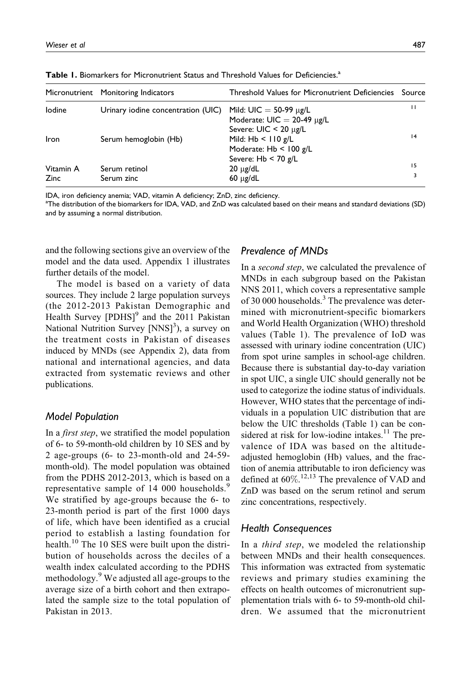|             | Micronutrient Monitoring Indicators | Threshold Values for Micronutrient Deficiencies                                           | Source |
|-------------|-------------------------------------|-------------------------------------------------------------------------------------------|--------|
| lodine      | Urinary iodine concentration (UIC)  | Mild: $UIC = 50-99 \mu g/L$<br>Moderate: $UIC = 20-49$ µg/L<br>Severe: $UIC < 20 \mu g/L$ | п      |
| Iron        | Serum hemoglobin (Hb)               | Mild: $Hb < 110 g/L$<br>Moderate: $Hb < 100 g/L$<br>Severe: $Hb < 70$ g/L                 | 4      |
| Vitamin A   | Serum retinol                       | $20 \mu g/dL$                                                                             | 15     |
| <b>Zinc</b> | Serum zinc                          | $60 \mu g/dL$                                                                             | 3      |

Table 1. Biomarkers for Micronutrient Status and Threshold Values for Deficiencies.<sup>a</sup>

IDA, iron deficiency anemia; VAD, vitamin A deficiency; ZnD, zinc deficiency.

a The distribution of the biomarkers for IDA, VAD, and ZnD was calculated based on their means and standard deviations (SD) and by assuming a normal distribution.

and the following sections give an overview of the model and the data used. Appendix 1 illustrates further details of the model.

The model is based on a variety of data sources. They include 2 large population surveys (the 2012-2013 Pakistan Demographic and Health Survey  $[PDHS]$ <sup>9</sup> and the 2011 Pakistan National Nutrition Survey [NNS]<sup>3</sup>), a survey on the treatment costs in Pakistan of diseases induced by MNDs (see Appendix 2), data from national and international agencies, and data extracted from systematic reviews and other publications.

#### Model Population

In a *first step*, we stratified the model population of 6- to 59-month-old children by 10 SES and by 2 age-groups (6- to 23-month-old and 24-59 month-old). The model population was obtained from the PDHS 2012-2013, which is based on a representative sample of 14 000 households.<sup>9</sup> We stratified by age-groups because the 6- to 23-month period is part of the first 1000 days of life, which have been identified as a crucial period to establish a lasting foundation for health.<sup>10</sup> The 10 SES were built upon the distribution of households across the deciles of a wealth index calculated according to the PDHS methodology.<sup>9</sup> We adjusted all age-groups to the average size of a birth cohort and then extrapolated the sample size to the total population of Pakistan in 2013.

#### Prevalence of MNDs

In a second step, we calculated the prevalence of MNDs in each subgroup based on the Pakistan NNS 2011, which covers a representative sample of 30 000 households.<sup>3</sup> The prevalence was determined with micronutrient-specific biomarkers and World Health Organization (WHO) threshold values (Table 1). The prevalence of IoD was assessed with urinary iodine concentration (UIC) from spot urine samples in school-age children. Because there is substantial day-to-day variation in spot UIC, a single UIC should generally not be used to categorize the iodine status of individuals. However, WHO states that the percentage of individuals in a population UIC distribution that are below the UIC thresholds (Table 1) can be considered at risk for low-iodine intakes.<sup>11</sup> The prevalence of IDA was based on the altitudeadjusted hemoglobin (Hb) values, and the fraction of anemia attributable to iron deficiency was defined at  $60\%$ .<sup>12,13</sup> The prevalence of VAD and ZnD was based on the serum retinol and serum zinc concentrations, respectively.

#### Health Consequences

In a *third step*, we modeled the relationship between MNDs and their health consequences. This information was extracted from systematic reviews and primary studies examining the effects on health outcomes of micronutrient supplementation trials with 6- to 59-month-old children. We assumed that the micronutrient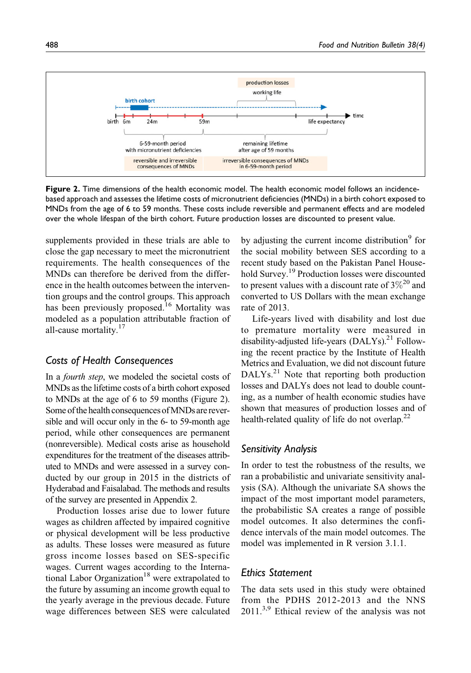

Figure 2. Time dimensions of the health economic model. The health economic model follows an incidencebased approach and assesses the lifetime costs of micronutrient deficiencies (MNDs) in a birth cohort exposed to MNDs from the age of 6 to 59 months. These costs include reversible and permanent effects and are modeled over the whole lifespan of the birth cohort. Future production losses are discounted to present value.

supplements provided in these trials are able to close the gap necessary to meet the micronutrient requirements. The health consequences of the MNDs can therefore be derived from the difference in the health outcomes between the intervention groups and the control groups. This approach has been previously proposed.<sup>16</sup> Mortality was modeled as a population attributable fraction of all-cause mortality.<sup>17</sup>

#### Costs of Health Consequences

In a fourth step, we modeled the societal costs of MNDs as the lifetime costs of a birth cohort exposed to MNDs at the age of 6 to 59 months (Figure 2). Some of the health consequences of MNDs are reversible and will occur only in the 6- to 59-month age period, while other consequences are permanent (nonreversible). Medical costs arise as household expenditures for the treatment of the diseases attributed to MNDs and were assessed in a survey conducted by our group in 2015 in the districts of Hyderabad and Faisalabad. The methods and results of the survey are presented in Appendix 2.

Production losses arise due to lower future wages as children affected by impaired cognitive or physical development will be less productive as adults. These losses were measured as future gross income losses based on SES-specific wages. Current wages according to the International Labor Organization<sup>18</sup> were extrapolated to the future by assuming an income growth equal to the yearly average in the previous decade. Future wage differences between SES were calculated

by adjusting the current income distribution<sup>9</sup> for the social mobility between SES according to a recent study based on the Pakistan Panel Household Survey.19 Production losses were discounted to present values with a discount rate of  $3\%^{20}$  and converted to US Dollars with the mean exchange rate of 2013.

Life-years lived with disability and lost due to premature mortality were measured in disability-adjusted life-years  $(DALYs)$ <sup>21</sup> Following the recent practice by the Institute of Health Metrics and Evaluation, we did not discount future DALYs.<sup>21</sup> Note that reporting both production losses and DALYs does not lead to double counting, as a number of health economic studies have shown that measures of production losses and of health-related quality of life do not overlap.<sup>22</sup>

#### Sensitivity Analysis

In order to test the robustness of the results, we ran a probabilistic and univariate sensitivity analysis (SA). Although the univariate SA shows the impact of the most important model parameters, the probabilistic SA creates a range of possible model outcomes. It also determines the confidence intervals of the main model outcomes. The model was implemented in R version 3.1.1.

#### Ethics Statement

The data sets used in this study were obtained from the PDHS 2012-2013 and the NNS  $2011^{3,9}$  Ethical review of the analysis was not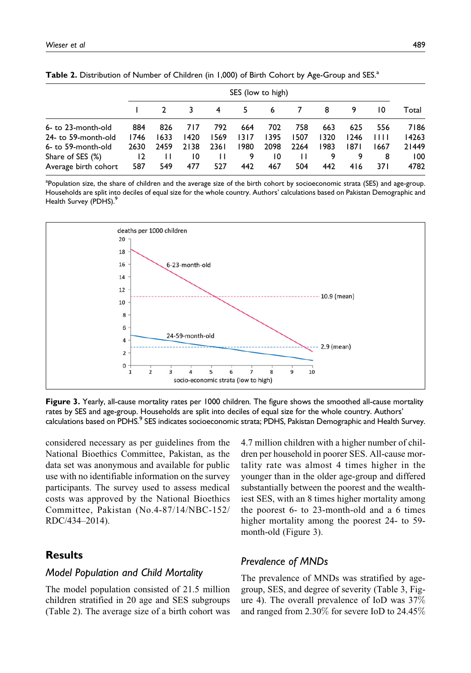|                      |                | SES (low to high) |      |              |      |      |                |      |      |      |       |
|----------------------|----------------|-------------------|------|--------------|------|------|----------------|------|------|------|-------|
|                      |                |                   |      | 4            | 5.   | 6    | $\overline{7}$ | 8    | 9    | 10   | Total |
| 6- to 23-month-old   | 884            | 826               | 717  | 792          | 664  | 702  | 758            | 663  | 625  | 556  | 7186  |
| 24- to 59-month-old  | 1746           | 1633              | 1420 | 1569         | 1317 | 1395 | 1507           | 1320 | 1246 | 1111 | 14263 |
| 6- to 59-month-old   | 2630           | 2459              | 2138 | 236 L        | 1980 | 2098 | 2264           | 1983 | 1871 | 1667 | 21449 |
| Share of SES (%)     | $\overline{2}$ | $\mathbf{H}$      | 10   | $\mathbf{H}$ | 9    | 10   | $\mathbf{H}$   | 9    | 9    | 8    | 100   |
| Average birth cohort | 587            | 549               | 477  | 527          | 442  | 467  | 504            | 442  | 416  | 37 I | 4782  |

<sup>a</sup>Population size, the share of children and the average size of the birth cohort by socioeconomic strata (SES) and age-group. Households are split into deciles of equal size for the whole country. Authors' calculations based on Pakistan Demographic and Health Survey (PDHS).<sup>9</sup>



Figure 3. Yearly, all-cause mortality rates per 1000 children. The figure shows the smoothed all-cause mortality rates by SES and age-group. Households are split into deciles of equal size for the whole country. Authors' calculations based on PDHS.<sup>9</sup> SES indicates socioeconomic strata; PDHS, Pakistan Demographic and Health Survey.

considered necessary as per guidelines from the National Bioethics Committee, Pakistan, as the data set was anonymous and available for public use with no identifiable information on the survey participants. The survey used to assess medical costs was approved by the National Bioethics Committee, Pakistan (No.4-87/14/NBC-152/ RDC/434–2014).

#### **Results**

#### Model Population and Child Mortality

The model population consisted of 21.5 million children stratified in 20 age and SES subgroups (Table 2). The average size of a birth cohort was 4.7 million children with a higher number of children per household in poorer SES. All-cause mortality rate was almost 4 times higher in the younger than in the older age-group and differed substantially between the poorest and the wealthiest SES, with an 8 times higher mortality among the poorest 6- to 23-month-old and a 6 times higher mortality among the poorest 24- to 59 month-old (Figure 3).

#### Prevalence of MNDs

The prevalence of MNDs was stratified by agegroup, SES, and degree of severity (Table 3, Figure 4). The overall prevalence of IoD was 37% and ranged from 2.30% for severe IoD to 24.45%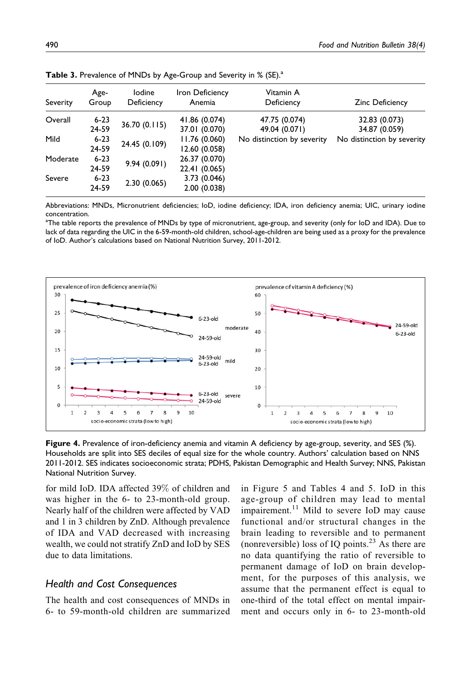| Severity | Age-<br>Group     | lodine<br>Deficiency | Iron Deficiency<br>Anemia      | Vitamin A<br>Deficiency        | <b>Zinc Deficiency</b>         |
|----------|-------------------|----------------------|--------------------------------|--------------------------------|--------------------------------|
| Overall  | $6 - 23$<br>24-59 | 36.70 (0.115)        | 41.86 (0.074)<br>37.01 (0.070) | 47.75 (0.074)<br>49.04 (0.071) | 32.83 (0.073)<br>34.87 (0.059) |
| Mild     | $6 - 23$<br>24-59 | 24.45 (0.109)        | 11.76(0.060)<br>12.60 (0.058)  | No distinction by severity     | No distinction by severity     |
| Moderate | $6 - 23$<br>24-59 | 9.94(0.091)          | 26.37 (0.070)<br>22.41 (0.065) |                                |                                |
| Severe   | $6 - 23$<br>24-59 | 2.30(0.065)          | 3.73(0.046)<br>2.00(0.038)     |                                |                                |

Table 3. Prevalence of MNDs by Age-Group and Severity in % (SE).<sup>a</sup>

Abbreviations: MNDs, Micronutrient deficiencies; IoD, iodine deficiency; IDA, iron deficiency anemia; UIC, urinary iodine concentration.

a The table reports the prevalence of MNDs by type of micronutrient, age-group, and severity (only for IoD and IDA). Due to lack of data regarding the UIC in the 6-59-month-old children, school-age-children are being used as a proxy for the prevalence of IoD. Author's calculations based on National Nutrition Survey, 2011-2012.



Figure 4. Prevalence of iron-deficiency anemia and vitamin A deficiency by age-group, severity, and SES (%). Households are split into SES deciles of equal size for the whole country. Authors' calculation based on NNS 2011-2012. SES indicates socioeconomic strata; PDHS, Pakistan Demographic and Health Survey; NNS, Pakistan National Nutrition Survey.

for mild IoD. IDA affected 39% of children and was higher in the 6- to 23-month-old group. Nearly half of the children were affected by VAD and 1 in 3 children by ZnD. Although prevalence of IDA and VAD decreased with increasing wealth, we could not stratify ZnD and IoD by SES due to data limitations.

#### Health and Cost Consequences

The health and cost consequences of MNDs in 6- to 59-month-old children are summarized

in Figure 5 and Tables 4 and 5. IoD in this age-group of children may lead to mental impairement.<sup>11</sup> Mild to severe IoD may cause functional and/or structural changes in the brain leading to reversible and to permanent (nonreversible) loss of IQ points. $^{23}$  As there are no data quantifying the ratio of reversible to permanent damage of IoD on brain development, for the purposes of this analysis, we assume that the permanent effect is equal to one-third of the total effect on mental impairment and occurs only in 6- to 23-month-old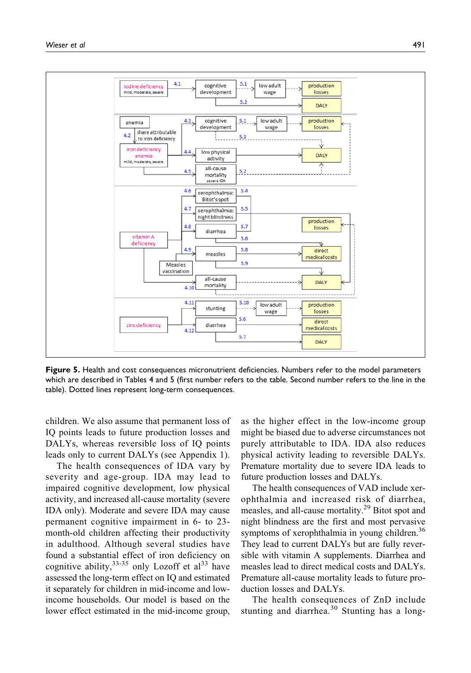

Figure 5. Health and cost consequences micronutrient deficiencies. Numbers refer to the model parameters which are described in Tables 4 and 5 (first number refers to the table. Second number refers to the line in the table). Dotted lines represent long-term consequences.

children. We also assume that permanent loss of IQ points leads to future production losses and DALYs, whereas reversible loss of IQ points leads only to current DALYs (see Appendix 1).

The health consequences of IDA vary by severity and age-group. IDA may lead to impaired cognitive development, low physical activity, and increased all-cause mortality (severe IDA only). Moderate and severe IDA may cause permanent cognitive impairment in 6- to 23 month-old children affecting their productivity in adulthood. Although several studies have found a substantial effect of iron deficiency on cognitive ability,  $33-35$  only Lozoff et al  $33$  have assessed the long-term effect on IQ and estimated it separately for children in mid-income and lowincome households. Our model is based on the lower effect estimated in the mid-income group, as the higher effect in the low-income group might be biased due to adverse circumstances not purely attributable to IDA. IDA also reduces physical activity leading to reversible DALYs. Premature mortality due to severe IDA leads to future production losses and DALYs.

The health consequences of VAD include xerophthalmia and increased risk of diarrhea, measles, and all-cause mortality.<sup>29</sup> Bitot spot and night blindness are the first and most pervasive symptoms of xerophthalmia in young children.<sup>36</sup> They lead to current DALYs but are fully reversible with vitamin A supplements. Diarrhea and measles lead to direct medical costs and DALYs. Premature all-cause mortality leads to future production losses and DALYs.

The health consequences of ZnD include stunting and diarrhea.<sup>30</sup> Stunting has a long-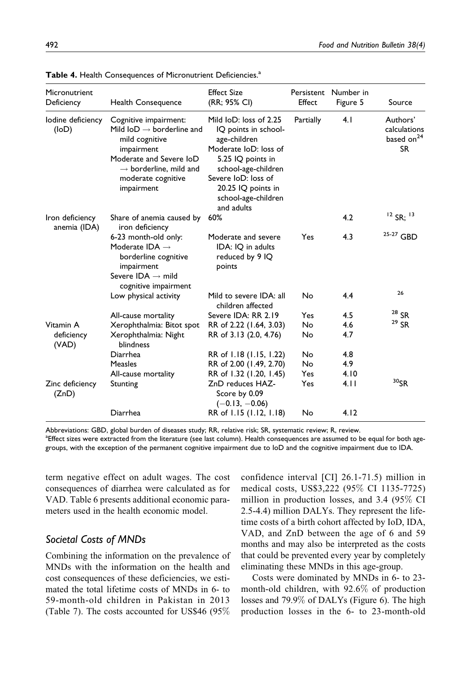| Micronutrient<br>Deficiency     | <b>Health Consequence</b>                                                                                                                                                                                             | <b>Effect Size</b><br>(RR; 95% CI)                                                                                                                                                                                    | Effect     | Persistent Number in<br>Figure 5 | Source                                                          |
|---------------------------------|-----------------------------------------------------------------------------------------------------------------------------------------------------------------------------------------------------------------------|-----------------------------------------------------------------------------------------------------------------------------------------------------------------------------------------------------------------------|------------|----------------------------------|-----------------------------------------------------------------|
| lodine deficiency<br>(logD)     | Cognitive impairment:<br>Mild $\mathsf{IoD} \rightarrow \mathsf{borderline}$ and<br>mild cognitive<br>impairment<br>Moderate and Severe IoD<br>$\rightarrow$ borderline, mild and<br>moderate cognitive<br>impairment | Mild IoD: loss of 2.25<br>IQ points in school-<br>age-children<br>Moderate IoD: loss of<br>5.25 IQ points in<br>school-age-children<br>Severe IoD: loss of<br>20.25 IQ points in<br>school-age-children<br>and adults | Partially  | 4.1                              | Authors'<br>calculations<br>based on <sup>24</sup><br><b>SR</b> |
| Iron deficiency<br>anemia (IDA) | Share of anemia caused by<br>iron deficiency                                                                                                                                                                          | 60%                                                                                                                                                                                                                   |            | 4.2                              | $12$ SR: $13$                                                   |
|                                 | 6-23 month-old only:<br>Moderate IDA $\rightarrow$<br>borderline cognitive<br>impairment<br>Severe IDA $\rightarrow$ mild<br>cognitive impairment                                                                     | Moderate and severe<br>IDA: IQ in adults<br>reduced by 9 IQ<br>points                                                                                                                                                 | <b>Yes</b> | 4.3                              | <sup>25-27</sup> GBD                                            |
|                                 | Low physical activity                                                                                                                                                                                                 | Mild to severe IDA: all<br>children affected                                                                                                                                                                          | Nο         | 4.4                              | 26                                                              |
|                                 | All-cause mortality                                                                                                                                                                                                   | Severe IDA: RR 2.19                                                                                                                                                                                                   | Yes        | 4.5                              | $28$ SR                                                         |
| Vitamin A                       | Xerophthalmia: Bitot spot                                                                                                                                                                                             | RR of 2.22 (1.64, 3.03)                                                                                                                                                                                               | No.        | 4.6                              | $29$ SR                                                         |
| deficiency<br>(VAD)             | Xerophthalmia: Night<br>blindness                                                                                                                                                                                     | RR of 3.13 (2.0, 4.76)                                                                                                                                                                                                | No         | 4.7                              |                                                                 |
|                                 | Diarrhea                                                                                                                                                                                                              | RR of 1.18 (1.15, 1.22)                                                                                                                                                                                               | No         | 4.8                              |                                                                 |
|                                 | Measles                                                                                                                                                                                                               | RR of 2.00 (1.49, 2.70)                                                                                                                                                                                               | <b>No</b>  | 4.9                              |                                                                 |
|                                 | All-cause mortality                                                                                                                                                                                                   | RR of 1.32 (1.20, 1.45)                                                                                                                                                                                               | Yes        | 4.10                             |                                                                 |
| Zinc deficiency<br>(ZnD)        | Stunting                                                                                                                                                                                                              | ZnD reduces HAZ-<br>Score by 0.09<br>$(-0.13, -0.06)$                                                                                                                                                                 | <b>Yes</b> | 4.11                             | $30$ <sub>SR</sub>                                              |
|                                 | Diarrhea                                                                                                                                                                                                              | RR of 1.15 (1.12, 1.18)                                                                                                                                                                                               | No         | 4.12                             |                                                                 |

Table 4. Health Consequences of Micronutrient Deficiencies.<sup>a</sup>

Abbreviations: GBD, global burden of diseases study; RR, relative risk; SR, systematic review; R, review.

a Effect sizes were extracted from the literature (see last column). Health consequences are assumed to be equal for both agegroups, with the exception of the permanent cognitive impairment due to IoD and the cognitive impairment due to IDA.

term negative effect on adult wages. The cost consequences of diarrhea were calculated as for VAD. Table 6 presents additional economic parameters used in the health economic model.

#### Societal Costs of MNDs

Combining the information on the prevalence of MNDs with the information on the health and cost consequences of these deficiencies, we estimated the total lifetime costs of MNDs in 6- to 59-month-old children in Pakistan in 2013 (Table 7). The costs accounted for US\$46 (95%

confidence interval [CI] 26.1-71.5) million in medical costs, US\$3,222 (95% CI 1135-7725) million in production losses, and 3.4 (95% CI 2.5-4.4) million DALYs. They represent the lifetime costs of a birth cohort affected by IoD, IDA, VAD, and ZnD between the age of 6 and 59 months and may also be interpreted as the costs that could be prevented every year by completely eliminating these MNDs in this age-group.

Costs were dominated by MNDs in 6- to 23 month-old children, with 92.6% of production losses and 79.9% of DALYs (Figure 6). The high production losses in the 6- to 23-month-old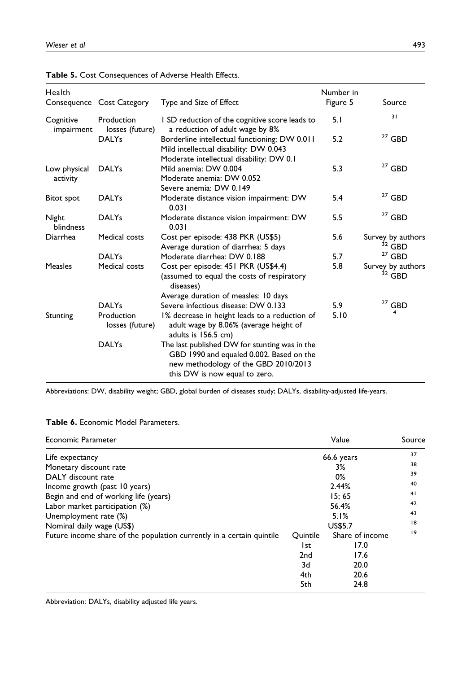|  | 493 |
|--|-----|

| Health                    | Consequence Cost Category     | Type and Size of Effect                                                                                                                                            | Number in<br>Figure 5 | Source                        |
|---------------------------|-------------------------------|--------------------------------------------------------------------------------------------------------------------------------------------------------------------|-----------------------|-------------------------------|
| Cognitive<br>impairment   | Production<br>losses (future) | I SD reduction of the cognitive score leads to<br>a reduction of adult wage by 8%                                                                                  | 5.1                   | 31                            |
|                           | <b>DALYs</b>                  | Borderline intellectual functioning: DW 0.011<br>Mild intellectual disability: DW 0.043<br>Moderate intellectual disability: DW 0.1                                | 5.2                   | $27$ GBD                      |
| Low physical<br>activity  | <b>DALYs</b>                  | Mild anemia: DW 0.004<br>Moderate anemia: DW 0.052<br>Severe anemia: DW 0.149                                                                                      | 5.3                   | $27$ GBD                      |
| Bitot spot                | <b>DALYs</b>                  | Moderate distance vision impairment: DW<br>0.031                                                                                                                   | 5.4                   | $27$ GBD                      |
| Night<br><b>blindness</b> | <b>DALYs</b>                  | Moderate distance vision impairment: DW<br>0.031                                                                                                                   | 5.5                   | $27$ GBD                      |
| Diarrhea                  | Medical costs                 | Cost per episode: 438 PKR (US\$5)<br>Average duration of diarrhea: 5 days                                                                                          | 5.6                   | Survey by authors<br>$32$ GBD |
|                           | <b>DALYs</b>                  | Moderate diarrhea: DW 0.188                                                                                                                                        | 5.7                   | $27$ GBD                      |
| <b>Measles</b>            | Medical costs                 | Cost per episode: 451 PKR (US\$4.4)<br>(assumed to equal the costs of respiratory<br>diseases)<br>Average duration of measles: 10 days                             | 5.8                   | Survey by authors<br>$32$ GBD |
|                           | <b>DALYs</b>                  | Severe infectious disease: DW 0.133                                                                                                                                | 5.9                   | $^{27}$ GBD                   |
| Stunting                  | Production<br>losses (future) | 1% decrease in height leads to a reduction of<br>adult wage by 8.06% (average height of<br>adults is 156.5 cm)                                                     | 5.10                  | 4                             |
|                           | <b>DALYs</b>                  | The last published DW for stunting was in the<br>GBD 1990 and equaled 0.002. Based on the<br>new methodology of the GBD 2010/2013<br>this DW is now equal to zero. |                       |                               |

|  |  | Table 5. Cost Consequences of Adverse Health Effects. |  |  |  |
|--|--|-------------------------------------------------------|--|--|--|
|--|--|-------------------------------------------------------|--|--|--|

Abbreviations: DW, disability weight; GBD, global burden of diseases study; DALYs, disability-adjusted life-years.

|  |  |  |  | Table 6. Economic Model Parameters. |
|--|--|--|--|-------------------------------------|
|--|--|--|--|-------------------------------------|

| Economic Parameter                                                    |          | Value            | Source |
|-----------------------------------------------------------------------|----------|------------------|--------|
| Life expectancy                                                       |          | 37               |        |
| Monetary discount rate                                                |          | 66.6 years<br>3% | 38     |
| DALY discount rate                                                    |          | 0%               | 39     |
| Income growth (past 10 years)                                         |          | 2.44%            | 40     |
| Begin and end of working life (years)                                 |          | 15:65            | 41     |
| Labor market participation (%)                                        |          | 42               |        |
| Unemployment rate (%)                                                 |          | 5.1%             | 43     |
| Nominal daily wage (US\$)                                             |          | <b>US\$5.7</b>   | 18     |
| Future income share of the population currently in a certain quintile | Ouintile | Share of income  | 9      |
|                                                                       | l st     | 17.0             |        |
|                                                                       | 2nd      | 17.6             |        |
|                                                                       | 3d       | 20.0             |        |
|                                                                       | 4th      | 20.6             |        |
|                                                                       | 5th      | 24.8             |        |

Abbreviation: DALYs, disability adjusted life years.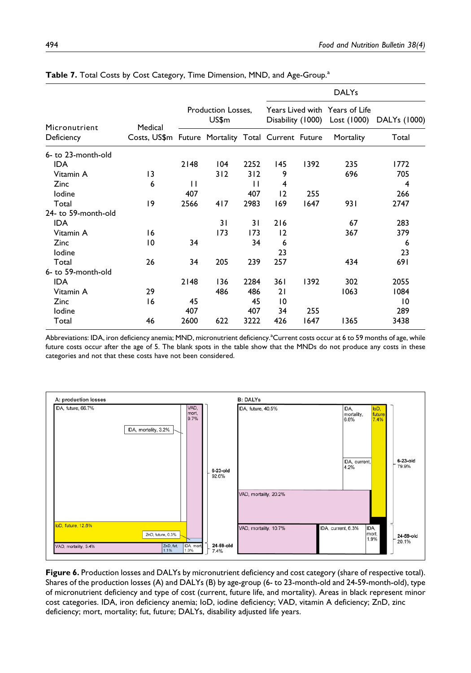|                     |                                                    |              |                             |              |     |      | <b>DALYs</b>                                                    |              |
|---------------------|----------------------------------------------------|--------------|-----------------------------|--------------|-----|------|-----------------------------------------------------------------|--------------|
| Micronutrient       | Medical                                            |              | Production Losses,<br>US\$m |              |     |      | Years Lived with Years of Life<br>Disability (1000) Lost (1000) | DALYs (1000) |
| Deficiency          | Costs, US\$m Future Mortality Total Current Future |              |                             |              |     |      | Mortality                                                       | Total        |
| 6- to 23-month-old  |                                                    |              |                             |              |     |      |                                                                 |              |
| <b>IDA</b>          |                                                    | 2148         | 104                         | 2252         | 145 | 1392 | 235                                                             | 1772         |
| Vitamin A           | $\overline{13}$                                    |              | 312                         | 312          | 9   |      | 696                                                             | 705          |
| Zinc                | 6                                                  | $\mathbf{H}$ |                             | $\mathsf{L}$ | 4   |      |                                                                 | 4            |
| lodine              |                                                    | 407          |                             | 407          | 12  | 255  |                                                                 | 266          |
| Total               | 9                                                  | 2566         | 417                         | 2983         | 169 | 1647 | 931                                                             | 2747         |
| 24- to 59-month-old |                                                    |              |                             |              |     |      |                                                                 |              |
| <b>IDA</b>          |                                                    |              | 31                          | 31           | 216 |      | 67                                                              | 283          |
| Vitamin A           | 16                                                 |              | 173                         | 173          | 12  |      | 367                                                             | 379          |
| Zinc                | 10                                                 | 34           |                             | 34           | 6   |      |                                                                 | 6            |
| lodine              |                                                    |              |                             |              | 23  |      |                                                                 | 23           |
| Total               | 26                                                 | 34           | 205                         | 239          | 257 |      | 434                                                             | 691          |
| 6- to 59-month-old  |                                                    |              |                             |              |     |      |                                                                 |              |
| <b>IDA</b>          |                                                    | 2148         | 136                         | 2284         | 361 | 1392 | 302                                                             | 2055         |
| Vitamin A           | 29                                                 |              | 486                         | 486          | 21  |      | 1063                                                            | 1084         |
| Zinc                | 16                                                 | 45           |                             | 45           | 10  |      |                                                                 | 10           |
| lodine              |                                                    | 407          |                             | 407          | 34  | 255  |                                                                 | 289          |
| Total               | 46                                                 | 2600         | 622                         | 3222         | 426 | 1647 | 1365                                                            | 3438         |

Table 7. Total Costs by Cost Category, Time Dimension, MND, and Age-Group.<sup>a</sup>

Abbreviations: IDA, iron deficiency anemia; MND, micronutrient deficiency.<sup>a</sup>Current costs occur at 6 to 59 months of age, while future costs occur after the age of 5. The blank spots in the table show that the MNDs do not produce any costs in these categories and not that these costs have not been considered.



Figure 6. Production losses and DALYs by micronutrient deficiency and cost category (share of respective total). Shares of the production losses (A) and DALYs (B) by age-group (6- to 23-month-old and 24-59-month-old), type of micronutrient deficiency and type of cost (current, future life, and mortality). Areas in black represent minor cost categories. IDA, iron deficiency anemia; IoD, iodine deficiency; VAD, vitamin A deficiency; ZnD, zinc deficiency; mort, mortality; fut, future; DALYs, disability adjusted life years.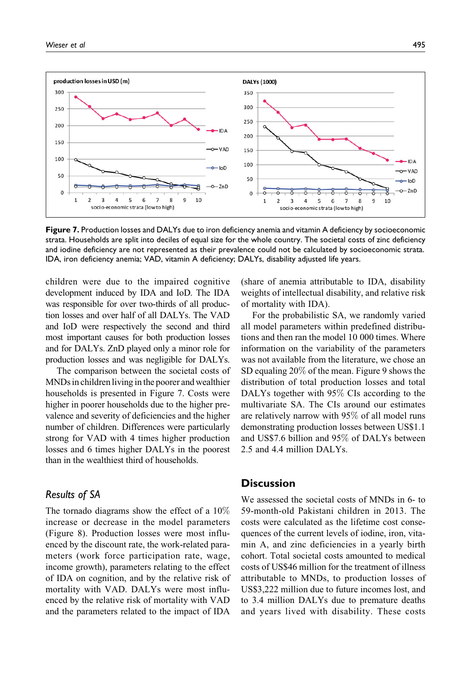

Figure 7. Production losses and DALYs due to iron deficiency anemia and vitamin A deficiency by socioeconomic strata. Households are split into deciles of equal size for the whole country. The societal costs of zinc deficiency and iodine deficiency are not represented as their prevalence could not be calculated by socioeconomic strata. IDA, iron deficiency anemia; VAD, vitamin A deficiency; DALYs, disability adjusted life years.

children were due to the impaired cognitive development induced by IDA and IoD. The IDA was responsible for over two-thirds of all production losses and over half of all DALYs. The VAD and IoD were respectively the second and third most important causes for both production losses and for DALYs. ZnD played only a minor role for production losses and was negligible for DALYs.

The comparison between the societal costs of MNDs in children living in the poorer and wealthier households is presented in Figure 7. Costs were higher in poorer households due to the higher prevalence and severity of deficiencies and the higher number of children. Differences were particularly strong for VAD with 4 times higher production losses and 6 times higher DALYs in the poorest than in the wealthiest third of households.

#### Results of SA

The tornado diagrams show the effect of a 10% increase or decrease in the model parameters (Figure 8). Production losses were most influenced by the discount rate, the work-related parameters (work force participation rate, wage, income growth), parameters relating to the effect of IDA on cognition, and by the relative risk of mortality with VAD. DALYs were most influenced by the relative risk of mortality with VAD and the parameters related to the impact of IDA (share of anemia attributable to IDA, disability weights of intellectual disability, and relative risk of mortality with IDA).

For the probabilistic SA, we randomly varied all model parameters within predefined distributions and then ran the model 10 000 times. Where information on the variability of the parameters was not available from the literature, we chose an SD equaling 20% of the mean. Figure 9 shows the distribution of total production losses and total DALYs together with 95% CIs according to the multivariate SA. The CIs around our estimates are relatively narrow with 95% of all model runs demonstrating production losses between US\$1.1 and US\$7.6 billion and 95% of DALYs between 2.5 and 4.4 million DALYs.

#### **Discussion**

We assessed the societal costs of MNDs in 6- to 59-month-old Pakistani children in 2013. The costs were calculated as the lifetime cost consequences of the current levels of iodine, iron, vitamin A, and zinc deficiencies in a yearly birth cohort. Total societal costs amounted to medical costs of US\$46 million for the treatment of illness attributable to MNDs, to production losses of US\$3,222 million due to future incomes lost, and to 3.4 million DALYs due to premature deaths and years lived with disability. These costs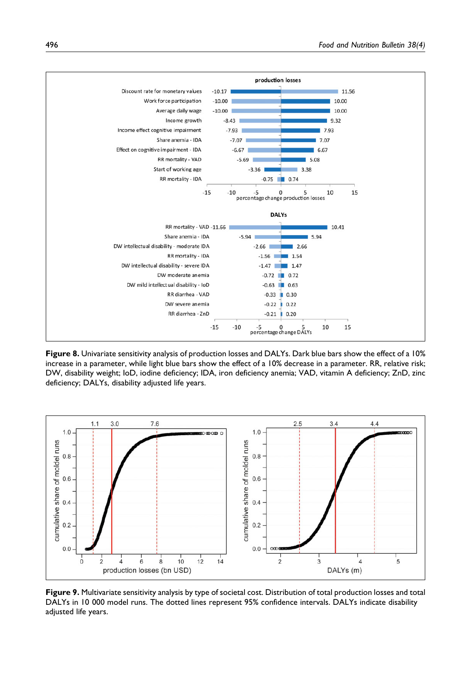

Figure 8. Univariate sensitivity analysis of production losses and DALYs. Dark blue bars show the effect of a 10% increase in a parameter, while light blue bars show the effect of a 10% decrease in a parameter. RR, relative risk; DW, disability weight; IoD, iodine deficiency; IDA, iron deficiency anemia; VAD, vitamin A deficiency; ZnD, zinc deficiency; DALYs, disability adjusted life years.



Figure 9. Multivariate sensitivity analysis by type of societal cost. Distribution of total production losses and total DALYs in 10 000 model runs. The dotted lines represent 95% confidence intervals. DALYs indicate disability adjusted life years.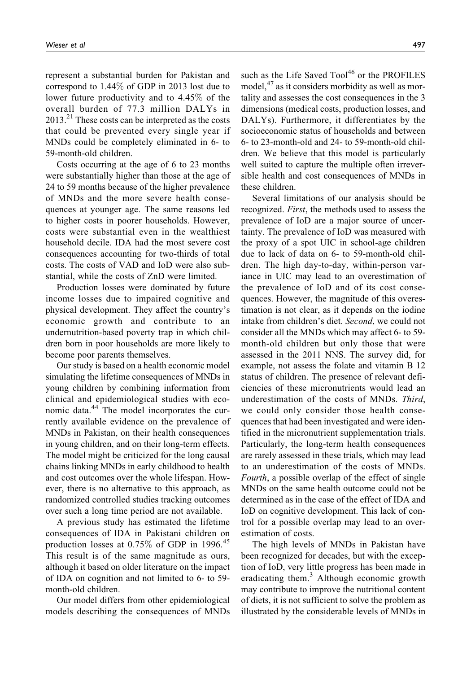represent a substantial burden for Pakistan and correspond to 1.44% of GDP in 2013 lost due to lower future productivity and to 4.45% of the overall burden of 77.3 million DALYs in  $2013<sup>21</sup>$  These costs can be interpreted as the costs that could be prevented every single year if MNDs could be completely eliminated in 6- to 59-month-old children.

Costs occurring at the age of 6 to 23 months were substantially higher than those at the age of 24 to 59 months because of the higher prevalence of MNDs and the more severe health consequences at younger age. The same reasons led to higher costs in poorer households. However, costs were substantial even in the wealthiest household decile. IDA had the most severe cost consequences accounting for two-thirds of total costs. The costs of VAD and IoD were also substantial, while the costs of ZnD were limited.

Production losses were dominated by future income losses due to impaired cognitive and physical development. They affect the country's economic growth and contribute to an undernutrition-based poverty trap in which children born in poor households are more likely to become poor parents themselves.

Our study is based on a health economic model simulating the lifetime consequences of MNDs in young children by combining information from clinical and epidemiological studies with economic data.<sup>44</sup> The model incorporates the currently available evidence on the prevalence of MNDs in Pakistan, on their health consequences in young children, and on their long-term effects. The model might be criticized for the long causal chains linking MNDs in early childhood to health and cost outcomes over the whole lifespan. However, there is no alternative to this approach, as randomized controlled studies tracking outcomes over such a long time period are not available.

A previous study has estimated the lifetime consequences of IDA in Pakistani children on production losses at  $0.75\%$  of GDP in 1996.<sup>45</sup> This result is of the same magnitude as ours, although it based on older literature on the impact of IDA on cognition and not limited to 6- to 59 month-old children.

Our model differs from other epidemiological models describing the consequences of MNDs such as the Life Saved Tool<sup>46</sup> or the PROFILES model, $^{47}$  as it considers morbidity as well as mortality and assesses the cost consequences in the 3 dimensions (medical costs, production losses, and DALYs). Furthermore, it differentiates by the socioeconomic status of households and between 6- to 23-month-old and 24- to 59-month-old children. We believe that this model is particularly well suited to capture the multiple often irreversible health and cost consequences of MNDs in these children.

Several limitations of our analysis should be recognized. First, the methods used to assess the prevalence of IoD are a major source of uncertainty. The prevalence of IoD was measured with the proxy of a spot UIC in school-age children due to lack of data on 6- to 59-month-old children. The high day-to-day, within-person variance in UIC may lead to an overestimation of the prevalence of IoD and of its cost consequences. However, the magnitude of this overestimation is not clear, as it depends on the iodine intake from children's diet. Second, we could not consider all the MNDs which may affect 6- to 59 month-old children but only those that were assessed in the 2011 NNS. The survey did, for example, not assess the folate and vitamin B 12 status of children. The presence of relevant deficiencies of these micronutrients would lead an underestimation of the costs of MNDs. Third, we could only consider those health consequences that had been investigated and were identified in the micronutrient supplementation trials. Particularly, the long-term health consequences are rarely assessed in these trials, which may lead to an underestimation of the costs of MNDs. Fourth, a possible overlap of the effect of single MNDs on the same health outcome could not be determined as in the case of the effect of IDA and IoD on cognitive development. This lack of control for a possible overlap may lead to an overestimation of costs.

The high levels of MNDs in Pakistan have been recognized for decades, but with the exception of IoD, very little progress has been made in eradicating them.<sup>3</sup> Although economic growth may contribute to improve the nutritional content of diets, it is not sufficient to solve the problem as illustrated by the considerable levels of MNDs in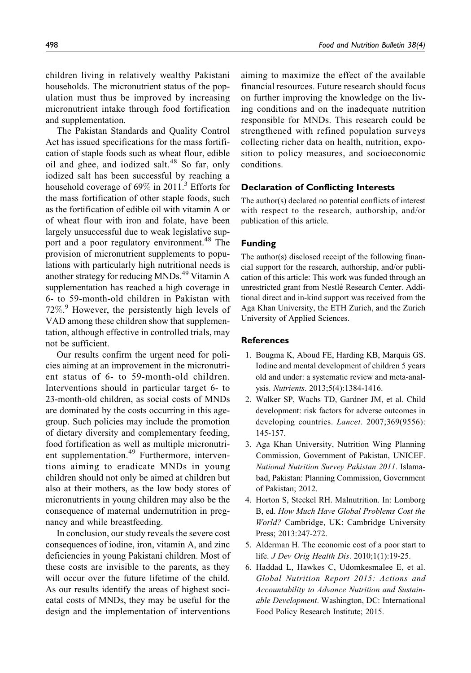children living in relatively wealthy Pakistani households. The micronutrient status of the population must thus be improved by increasing micronutrient intake through food fortification and supplementation.

The Pakistan Standards and Quality Control Act has issued specifications for the mass fortification of staple foods such as wheat flour, edible oil and ghee, and iodized salt. $48$  So far, only iodized salt has been successful by reaching a household coverage of  $69\%$  in 2011.<sup>3</sup> Efforts for the mass fortification of other staple foods, such as the fortification of edible oil with vitamin A or of wheat flour with iron and folate, have been largely unsuccessful due to weak legislative support and a poor regulatory environment.<sup>48</sup> The provision of micronutrient supplements to populations with particularly high nutritional needs is another strategy for reducing MNDs.<sup>49</sup> Vitamin A supplementation has reached a high coverage in 6- to 59-month-old children in Pakistan with 72%. <sup>9</sup> However, the persistently high levels of VAD among these children show that supplementation, although effective in controlled trials, may not be sufficient.

Our results confirm the urgent need for policies aiming at an improvement in the micronutrient status of 6- to 59-month-old children. Interventions should in particular target 6- to 23-month-old children, as social costs of MNDs are dominated by the costs occurring in this agegroup. Such policies may include the promotion of dietary diversity and complementary feeding, food fortification as well as multiple micronutrient supplementation.<sup>49</sup> Furthermore, interventions aiming to eradicate MNDs in young children should not only be aimed at children but also at their mothers, as the low body stores of micronutrients in young children may also be the consequence of maternal undernutrition in pregnancy and while breastfeeding.

In conclusion, our study reveals the severe cost consequences of iodine, iron, vitamin A, and zinc deficiencies in young Pakistani children. Most of these costs are invisible to the parents, as they will occur over the future lifetime of the child. As our results identify the areas of highest socieatal costs of MNDs, they may be useful for the design and the implementation of interventions

aiming to maximize the effect of the available financial resources. Future research should focus on further improving the knowledge on the living conditions and on the inadequate nutrition responsible for MNDs. This research could be strengthened with refined population surveys collecting richer data on health, nutrition, exposition to policy measures, and socioeconomic conditions.

#### Declaration of Conflicting Interests

The author(s) declared no potential conflicts of interest with respect to the research, authorship, and/or publication of this article.

#### Funding

The author(s) disclosed receipt of the following financial support for the research, authorship, and/or publication of this article: This work was funded through an unrestricted grant from Nestlé Research Center. Additional direct and in-kind support was received from the Aga Khan University, the ETH Zurich, and the Zurich University of Applied Sciences.

#### **References**

- 1. Bougma K, Aboud FE, Harding KB, Marquis GS. Iodine and mental development of children 5 years old and under: a systematic review and meta-analysis. Nutrients. 2013;5(4):1384-1416.
- 2. Walker SP, Wachs TD, Gardner JM, et al. Child development: risk factors for adverse outcomes in developing countries. Lancet. 2007;369(9556): 145-157.
- 3. Aga Khan University, Nutrition Wing Planning Commission, Government of Pakistan, UNICEF. National Nutrition Survey Pakistan 2011. Islamabad, Pakistan: Planning Commission, Government of Pakistan; 2012.
- 4. Horton S, Steckel RH. Malnutrition. In: Lomborg B, ed. How Much Have Global Problems Cost the World? Cambridge, UK: Cambridge University Press; 2013:247-272.
- 5. Alderman H. The economic cost of a poor start to life. J Dev Orig Health Dis. 2010;1(1):19-25.
- 6. Haddad L, Hawkes C, Udomkesmalee E, et al. Global Nutrition Report 2015: Actions and Accountability to Advance Nutrition and Sustainable Development. Washington, DC: International Food Policy Research Institute; 2015.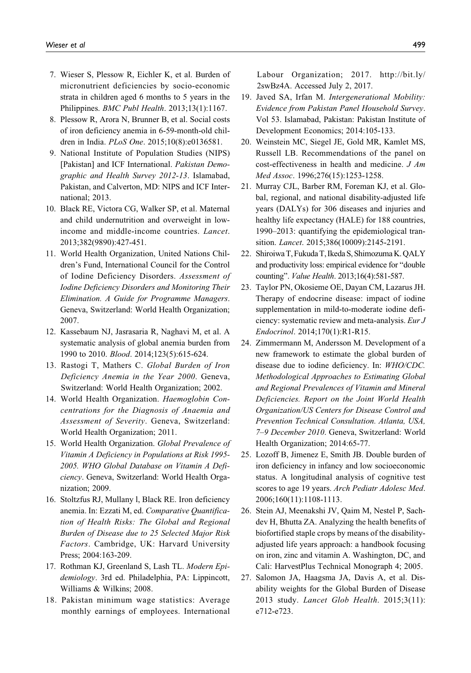- 7. Wieser S, Plessow R, Eichler K, et al. Burden of micronutrient deficiencies by socio-economic strata in children aged 6 months to 5 years in the Philippines. BMC Publ Health. 2013;13(1):1167.
- 8. Plessow R, Arora N, Brunner B, et al. Social costs of iron deficiency anemia in 6-59-month-old children in India. PLoS One. 2015;10(8):e0136581.
- 9. National Institute of Population Studies (NIPS) [Pakistan] and ICF International. Pakistan Demographic and Health Survey 2012-13. Islamabad, Pakistan, and Calverton, MD: NIPS and ICF International; 2013.
- 10. Black RE, Victora CG, Walker SP, et al. Maternal and child undernutrition and overweight in lowincome and middle-income countries. Lancet. 2013;382(9890):427-451.
- 11. World Health Organization, United Nations Children's Fund, International Council for the Control of Iodine Deficiency Disorders. Assessment of Iodine Deficiency Disorders and Monitoring Their Elimination. A Guide for Programme Managers. Geneva, Switzerland: World Health Organization; 2007.
- 12. Kassebaum NJ, Jasrasaria R, Naghavi M, et al. A systematic analysis of global anemia burden from 1990 to 2010. Blood. 2014;123(5):615-624.
- 13. Rastogi T, Mathers C. Global Burden of Iron Deficiency Anemia in the Year 2000. Geneva, Switzerland: World Health Organization; 2002.
- 14. World Health Organization. Haemoglobin Concentrations for the Diagnosis of Anaemia and Assessment of Severity. Geneva, Switzerland: World Health Organization; 2011.
- 15. World Health Organization. Global Prevalence of Vitamin A Deficiency in Populations at Risk 1995- 2005. WHO Global Database on Vitamin A Deficiency. Geneva, Switzerland: World Health Organization; 2009.
- 16. Stoltzfus RJ, Mullany l, Black RE. Iron deficiency anemia. In: Ezzati M, ed. Comparative Quantification of Health Risks: The Global and Regional Burden of Disease due to 25 Selected Major Risk Factors. Cambridge, UK: Harvard University Press; 2004:163-209.
- 17. Rothman KJ, Greenland S, Lash TL. Modern Epidemiology. 3rd ed. Philadelphia, PA: Lippincott, Williams & Wilkins; 2008.
- 18. Pakistan minimum wage statistics: Average monthly earnings of employees. International

Labour Organization; 2017. [http://bit.ly/](http://bit.ly/2swBz4A) [2swBz4A](http://bit.ly/2swBz4A). Accessed July 2, 2017.

- 19. Javed SA, Irfan M. Intergenerational Mobility: Evidence from Pakistan Panel Household Survey. Vol 53. Islamabad, Pakistan: Pakistan Institute of Development Economics; 2014:105-133.
- 20. Weinstein MC, Siegel JE, Gold MR, Kamlet MS, Russell LB. Recommendations of the panel on cost-effectiveness in health and medicine. J Am Med Assoc. 1996;276(15):1253-1258.
- 21. Murray CJL, Barber RM, Foreman KJ, et al. Global, regional, and national disability-adjusted life years (DALYs) for 306 diseases and injuries and healthy life expectancy (HALE) for 188 countries, 1990–2013: quantifying the epidemiological transition. Lancet. 2015;386(10009):2145-2191.
- 22. Shiroiwa T, Fukuda T, Ikeda S, Shimozuma K. QALY and productivity loss: empirical evidence for "double counting". Value Health. 2013;16(4):581-587.
- 23. Taylor PN, Okosieme OE, Dayan CM, Lazarus JH. Therapy of endocrine disease: impact of iodine supplementation in mild-to-moderate iodine deficiency: systematic review and meta-analysis. Eur J Endocrinol. 2014;170(1):R1-R15.
- 24. Zimmermann M, Andersson M. Development of a new framework to estimate the global burden of disease due to iodine deficiency. In: WHO/CDC. Methodological Approaches to Estimating Global and Regional Prevalences of Vitamin and Mineral Deficiencies. Report on the Joint World Health Organization/US Centers for Disease Control and Prevention Technical Consultation. Atlanta, USA, 7–9 December 2010. Geneva, Switzerland: World Health Organization; 2014:65-77.
- 25. Lozoff B, Jimenez E, Smith JB. Double burden of iron deficiency in infancy and low socioeconomic status. A longitudinal analysis of cognitive test scores to age 19 years. Arch Pediatr Adolesc Med. 2006;160(11):1108-1113.
- 26. Stein AJ, Meenakshi JV, Qaim M, Nestel P, Sachdev H, Bhutta ZA. Analyzing the health benefits of biofortified staple crops by means of the disabilityadjusted life years approach: a handbook focusing on iron, zinc and vitamin A. Washington, DC, and Cali: HarvestPlus Technical Monograph 4; 2005.
- 27. Salomon JA, Haagsma JA, Davis A, et al. Disability weights for the Global Burden of Disease 2013 study. Lancet Glob Health. 2015;3(11): e712-e723.